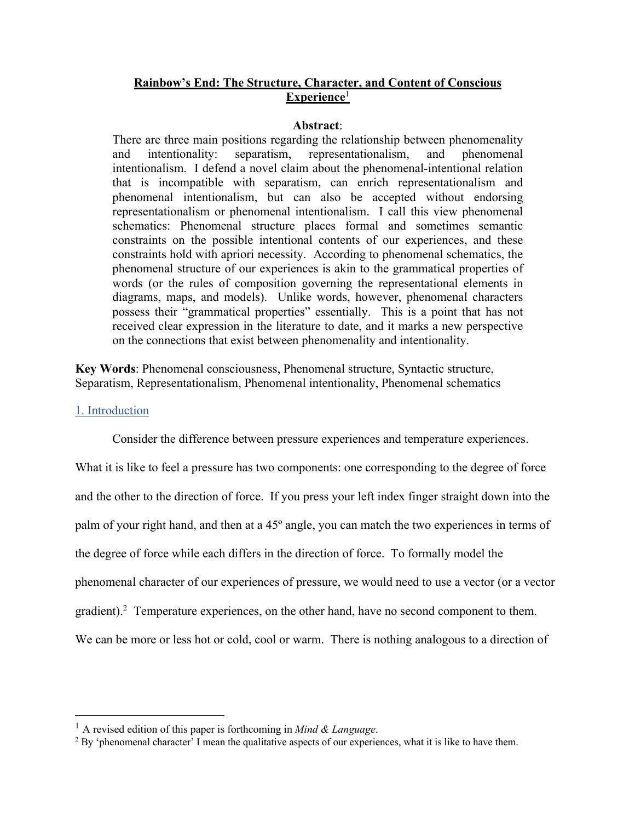# **Rainbow's End: The Structure, Character, and Content of Conscious Experience**<sup>1</sup>

### **Abstract**:

There are three main positions regarding the relationship between phenomenality and intentionality: separatism, representationalism, and phenomenal intentionalism. I defend a novel claim about the phenomenal-intentional relation that is incompatible with separatism, can enrich representationalism and phenomenal intentionalism, but can also be accepted without endorsing representationalism or phenomenal intentionalism. I call this view phenomenal schematics: Phenomenal structure places formal and sometimes semantic constraints on the possible intentional contents of our experiences, and these constraints hold with apriori necessity. According to phenomenal schematics, the phenomenal structure of our experiences is akin to the grammatical properties of words (or the rules of composition governing the representational elements in diagrams, maps, and models). Unlike words, however, phenomenal characters possess their "grammatical properties" essentially. This is a point that has not received clear expression in the literature to date, and it marks a new perspective on the connections that exist between phenomenality and intentionality.

**Key Words**: Phenomenal consciousness, Phenomenal structure, Syntactic structure, Separatism, Representationalism, Phenomenal intentionality, Phenomenal schematics

### 1. Introduction

Consider the difference between pressure experiences and temperature experiences.

What it is like to feel a pressure has two components: one corresponding to the degree of force and the other to the direction of force. If you press your left index finger straight down into the palm of your right hand, and then at a 45º angle, you can match the two experiences in terms of the degree of force while each differs in the direction of force. To formally model the phenomenal character of our experiences of pressure, we would need to use a vector (or a vector gradient).<sup>2</sup> Temperature experiences, on the other hand, have no second component to them. We can be more or less hot or cold, cool or warm. There is nothing analogous to a direction of

<sup>&</sup>lt;sup>1</sup> A revised edition of this paper is forthcoming in *Mind & Language*.<br><sup>2</sup> By 'phenomenal character' I mean the qualitative aspects of our experiences, what it is like to have them.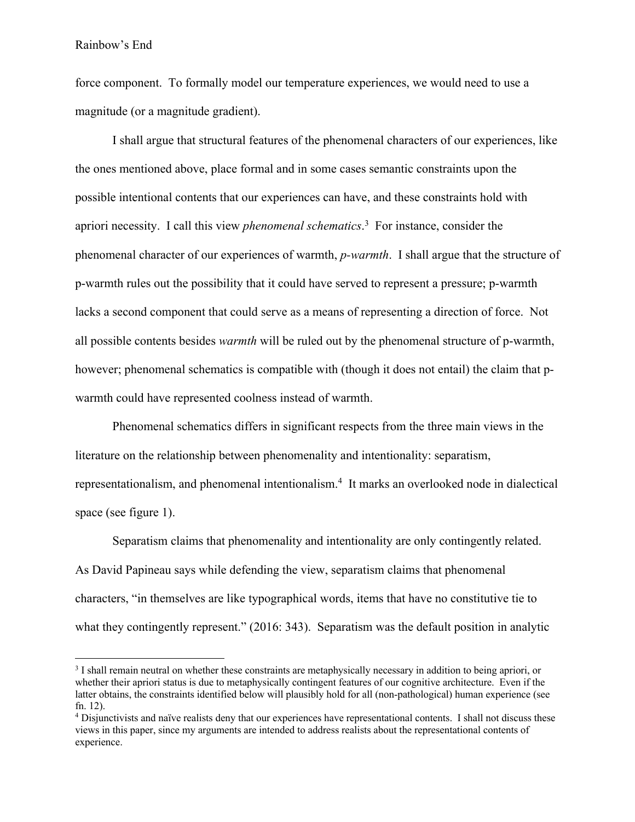force component. To formally model our temperature experiences, we would need to use a magnitude (or a magnitude gradient).

I shall argue that structural features of the phenomenal characters of our experiences, like the ones mentioned above, place formal and in some cases semantic constraints upon the possible intentional contents that our experiences can have, and these constraints hold with apriori necessity. I call this view *phenomenal schematics*. <sup>3</sup> For instance, consider the phenomenal character of our experiences of warmth, *p-warmth*. I shall argue that the structure of p-warmth rules out the possibility that it could have served to represent a pressure; p-warmth lacks a second component that could serve as a means of representing a direction of force. Not all possible contents besides *warmth* will be ruled out by the phenomenal structure of p-warmth, however; phenomenal schematics is compatible with (though it does not entail) the claim that pwarmth could have represented coolness instead of warmth.

Phenomenal schematics differs in significant respects from the three main views in the literature on the relationship between phenomenality and intentionality: separatism, representationalism, and phenomenal intentionalism.4 It marks an overlooked node in dialectical space (see figure 1).

Separatism claims that phenomenality and intentionality are only contingently related. As David Papineau says while defending the view, separatism claims that phenomenal characters, "in themselves are like typographical words, items that have no constitutive tie to what they contingently represent." (2016: 343). Separatism was the default position in analytic

<sup>&</sup>lt;sup>3</sup> I shall remain neutral on whether these constraints are metaphysically necessary in addition to being apriori, or whether their apriori status is due to metaphysically contingent features of our cognitive architecture. Even if the latter obtains, the constraints identified below will plausibly hold for all (non-pathological) human experience (see fn. 12).<br><sup>4</sup> Disjunctivists and naïve realists deny that our experiences have representational contents. I shall not discuss these

views in this paper, since my arguments are intended to address realists about the representational contents of experience.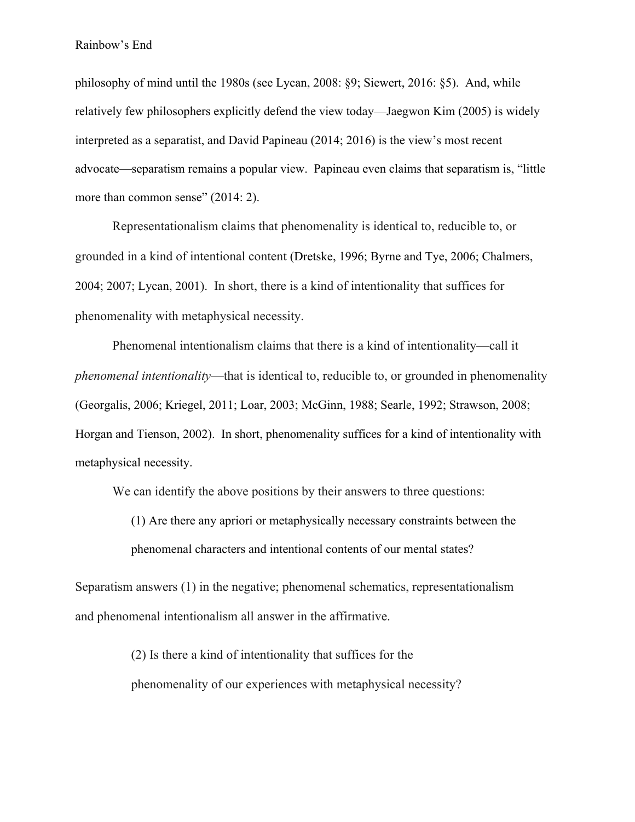philosophy of mind until the 1980s (see Lycan, 2008: §9; Siewert, 2016: §5). And, while relatively few philosophers explicitly defend the view today—Jaegwon Kim (2005) is widely interpreted as a separatist, and David Papineau (2014; 2016) is the view's most recent advocate—separatism remains a popular view. Papineau even claims that separatism is, "little more than common sense" (2014: 2).

Representationalism claims that phenomenality is identical to, reducible to, or grounded in a kind of intentional content (Dretske, 1996; Byrne and Tye, 2006; Chalmers, 2004; 2007; Lycan, 2001). In short, there is a kind of intentionality that suffices for phenomenality with metaphysical necessity.

Phenomenal intentionalism claims that there is a kind of intentionality—call it *phenomenal intentionality*—that is identical to, reducible to, or grounded in phenomenality (Georgalis, 2006; Kriegel, 2011; Loar, 2003; McGinn, 1988; Searle, 1992; Strawson, 2008; Horgan and Tienson, 2002). In short, phenomenality suffices for a kind of intentionality with metaphysical necessity.

We can identify the above positions by their answers to three questions:

(1) Are there any apriori or metaphysically necessary constraints between the phenomenal characters and intentional contents of our mental states?

Separatism answers (1) in the negative; phenomenal schematics, representationalism and phenomenal intentionalism all answer in the affirmative.

> (2) Is there a kind of intentionality that suffices for the phenomenality of our experiences with metaphysical necessity?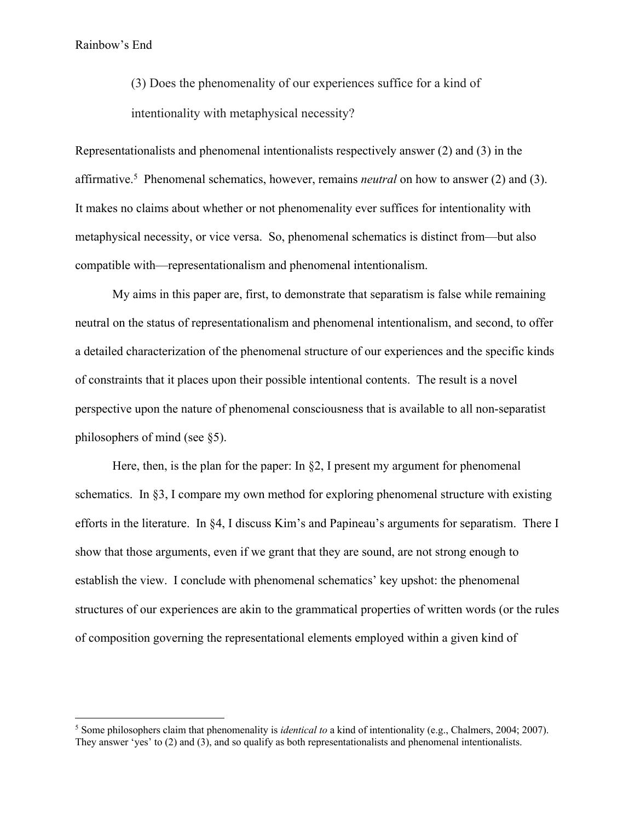(3) Does the phenomenality of our experiences suffice for a kind of intentionality with metaphysical necessity?

Representationalists and phenomenal intentionalists respectively answer (2) and (3) in the affirmative.<sup>5</sup> Phenomenal schematics, however, remains *neutral* on how to answer (2) and (3). It makes no claims about whether or not phenomenality ever suffices for intentionality with metaphysical necessity, or vice versa. So, phenomenal schematics is distinct from—but also compatible with—representationalism and phenomenal intentionalism.

My aims in this paper are, first, to demonstrate that separatism is false while remaining neutral on the status of representationalism and phenomenal intentionalism, and second, to offer a detailed characterization of the phenomenal structure of our experiences and the specific kinds of constraints that it places upon their possible intentional contents. The result is a novel perspective upon the nature of phenomenal consciousness that is available to all non-separatist philosophers of mind (see §5).

Here, then, is the plan for the paper: In  $\S2$ , I present my argument for phenomenal schematics. In §3, I compare my own method for exploring phenomenal structure with existing efforts in the literature. In §4, I discuss Kim's and Papineau's arguments for separatism. There I show that those arguments, even if we grant that they are sound, are not strong enough to establish the view. I conclude with phenomenal schematics' key upshot: the phenomenal structures of our experiences are akin to the grammatical properties of written words (or the rules of composition governing the representational elements employed within a given kind of

<sup>5</sup> Some philosophers claim that phenomenality is *identical to* a kind of intentionality (e.g., Chalmers, 2004; 2007). They answer 'yes' to (2) and (3), and so qualify as both representationalists and phenomenal intentionalists.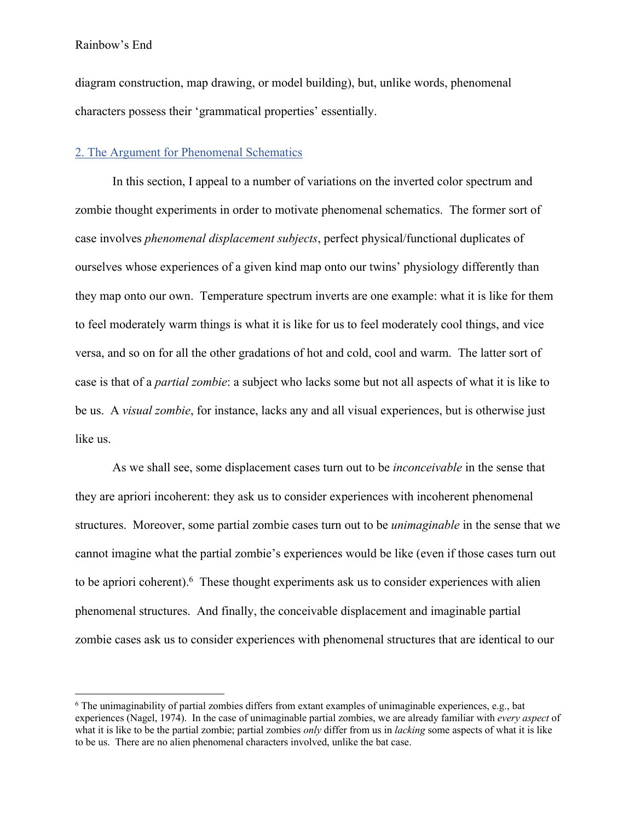diagram construction, map drawing, or model building), but, unlike words, phenomenal characters possess their 'grammatical properties' essentially.

## 2. The Argument for Phenomenal Schematics

In this section, I appeal to a number of variations on the inverted color spectrum and zombie thought experiments in order to motivate phenomenal schematics. The former sort of case involves *phenomenal displacement subjects*, perfect physical/functional duplicates of ourselves whose experiences of a given kind map onto our twins' physiology differently than they map onto our own. Temperature spectrum inverts are one example: what it is like for them to feel moderately warm things is what it is like for us to feel moderately cool things, and vice versa, and so on for all the other gradations of hot and cold, cool and warm. The latter sort of case is that of a *partial zombie*: a subject who lacks some but not all aspects of what it is like to be us. A *visual zombie*, for instance, lacks any and all visual experiences, but is otherwise just like us.

As we shall see, some displacement cases turn out to be *inconceivable* in the sense that they are apriori incoherent: they ask us to consider experiences with incoherent phenomenal structures. Moreover, some partial zombie cases turn out to be *unimaginable* in the sense that we cannot imagine what the partial zombie's experiences would be like (even if those cases turn out to be apriori coherent). <sup>6</sup> These thought experiments ask us to consider experiences with alien phenomenal structures. And finally, the conceivable displacement and imaginable partial zombie cases ask us to consider experiences with phenomenal structures that are identical to our

<sup>6</sup> The unimaginability of partial zombies differs from extant examples of unimaginable experiences, e.g., bat experiences (Nagel, 1974). In the case of unimaginable partial zombies, we are already familiar with *every aspect* of what it is like to be the partial zombie; partial zombies *only* differ from us in *lacking* some aspects of what it is like to be us. There are no alien phenomenal characters involved, unlike the bat case.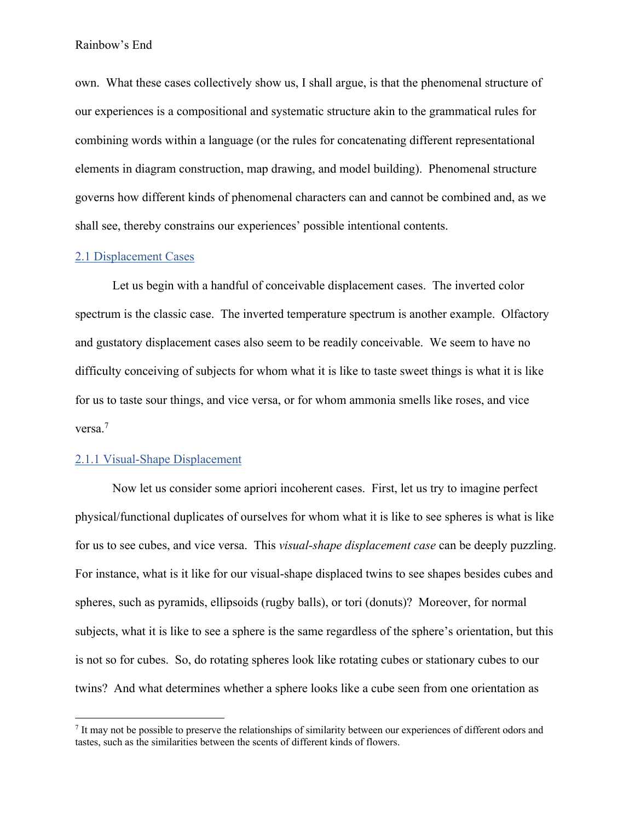own. What these cases collectively show us, I shall argue, is that the phenomenal structure of our experiences is a compositional and systematic structure akin to the grammatical rules for combining words within a language (or the rules for concatenating different representational elements in diagram construction, map drawing, and model building). Phenomenal structure governs how different kinds of phenomenal characters can and cannot be combined and, as we shall see, thereby constrains our experiences' possible intentional contents.

# 2.1 Displacement Cases

Let us begin with a handful of conceivable displacement cases. The inverted color spectrum is the classic case. The inverted temperature spectrum is another example. Olfactory and gustatory displacement cases also seem to be readily conceivable. We seem to have no difficulty conceiving of subjects for whom what it is like to taste sweet things is what it is like for us to taste sour things, and vice versa, or for whom ammonia smells like roses, and vice versa.<sup>7</sup>

### 2.1.1 Visual-Shape Displacement

Now let us consider some apriori incoherent cases. First, let us try to imagine perfect physical/functional duplicates of ourselves for whom what it is like to see spheres is what is like for us to see cubes, and vice versa. This *visual-shape displacement case* can be deeply puzzling. For instance, what is it like for our visual-shape displaced twins to see shapes besides cubes and spheres, such as pyramids, ellipsoids (rugby balls), or tori (donuts)? Moreover, for normal subjects, what it is like to see a sphere is the same regardless of the sphere's orientation, but this is not so for cubes. So, do rotating spheres look like rotating cubes or stationary cubes to our twins? And what determines whether a sphere looks like a cube seen from one orientation as

 $<sup>7</sup>$  It may not be possible to preserve the relationships of similarity between our experiences of different odors and</sup> tastes, such as the similarities between the scents of different kinds of flowers.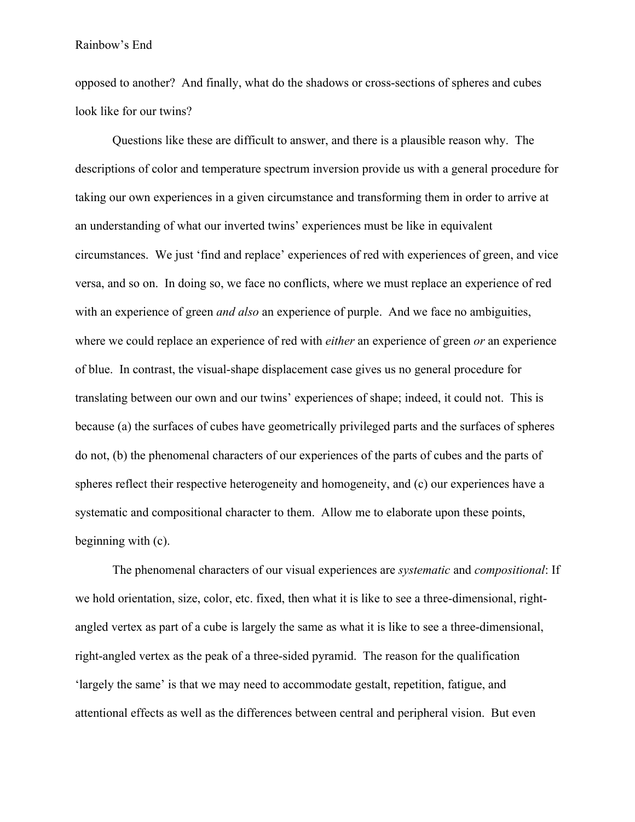opposed to another? And finally, what do the shadows or cross-sections of spheres and cubes look like for our twins?

Questions like these are difficult to answer, and there is a plausible reason why. The descriptions of color and temperature spectrum inversion provide us with a general procedure for taking our own experiences in a given circumstance and transforming them in order to arrive at an understanding of what our inverted twins' experiences must be like in equivalent circumstances. We just 'find and replace' experiences of red with experiences of green, and vice versa, and so on. In doing so, we face no conflicts, where we must replace an experience of red with an experience of green *and also* an experience of purple. And we face no ambiguities, where we could replace an experience of red with *either* an experience of green *or* an experience of blue. In contrast, the visual-shape displacement case gives us no general procedure for translating between our own and our twins' experiences of shape; indeed, it could not. This is because (a) the surfaces of cubes have geometrically privileged parts and the surfaces of spheres do not, (b) the phenomenal characters of our experiences of the parts of cubes and the parts of spheres reflect their respective heterogeneity and homogeneity, and (c) our experiences have a systematic and compositional character to them. Allow me to elaborate upon these points, beginning with (c).

The phenomenal characters of our visual experiences are *systematic* and *compositional*: If we hold orientation, size, color, etc. fixed, then what it is like to see a three-dimensional, rightangled vertex as part of a cube is largely the same as what it is like to see a three-dimensional, right-angled vertex as the peak of a three-sided pyramid. The reason for the qualification 'largely the same' is that we may need to accommodate gestalt, repetition, fatigue, and attentional effects as well as the differences between central and peripheral vision. But even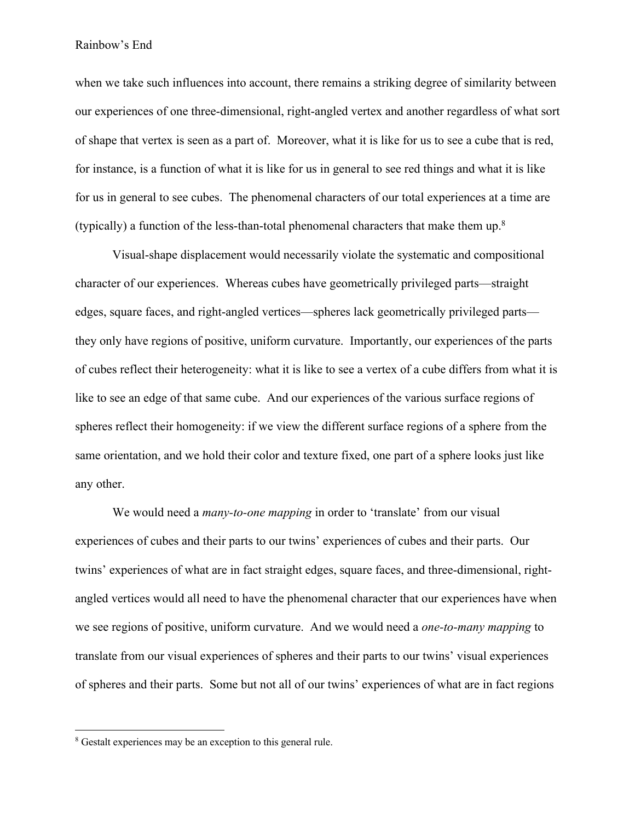when we take such influences into account, there remains a striking degree of similarity between our experiences of one three-dimensional, right-angled vertex and another regardless of what sort of shape that vertex is seen as a part of. Moreover, what it is like for us to see a cube that is red, for instance, is a function of what it is like for us in general to see red things and what it is like for us in general to see cubes. The phenomenal characters of our total experiences at a time are (typically) a function of the less-than-total phenomenal characters that make them up. $8$ 

Visual-shape displacement would necessarily violate the systematic and compositional character of our experiences. Whereas cubes have geometrically privileged parts—straight edges, square faces, and right-angled vertices—spheres lack geometrically privileged parts they only have regions of positive, uniform curvature. Importantly, our experiences of the parts of cubes reflect their heterogeneity: what it is like to see a vertex of a cube differs from what it is like to see an edge of that same cube. And our experiences of the various surface regions of spheres reflect their homogeneity: if we view the different surface regions of a sphere from the same orientation, and we hold their color and texture fixed, one part of a sphere looks just like any other.

We would need a *many-to-one mapping* in order to 'translate' from our visual experiences of cubes and their parts to our twins' experiences of cubes and their parts. Our twins' experiences of what are in fact straight edges, square faces, and three-dimensional, rightangled vertices would all need to have the phenomenal character that our experiences have when we see regions of positive, uniform curvature. And we would need a *one-to-many mapping* to translate from our visual experiences of spheres and their parts to our twins' visual experiences of spheres and their parts. Some but not all of our twins' experiences of what are in fact regions

<sup>&</sup>lt;sup>8</sup> Gestalt experiences may be an exception to this general rule.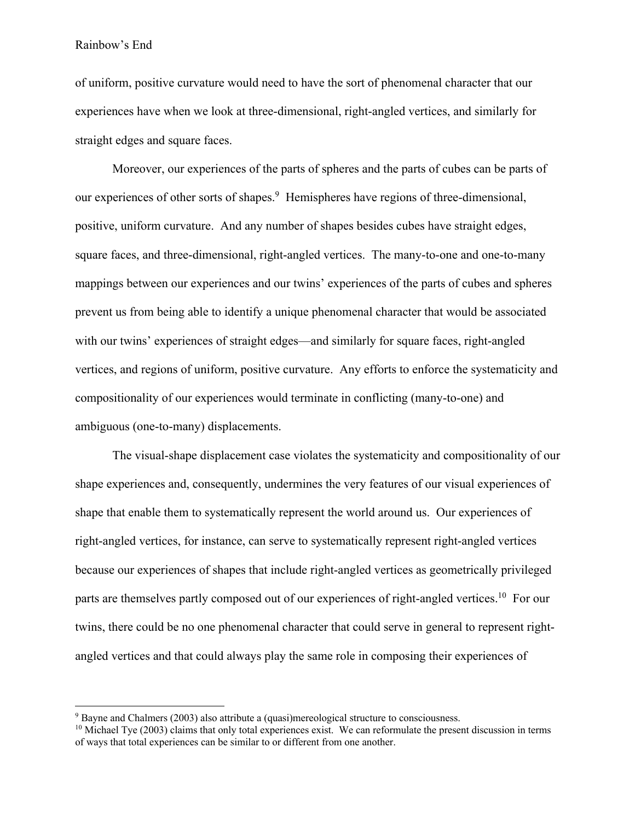of uniform, positive curvature would need to have the sort of phenomenal character that our experiences have when we look at three-dimensional, right-angled vertices, and similarly for straight edges and square faces.

Moreover, our experiences of the parts of spheres and the parts of cubes can be parts of our experiences of other sorts of shapes. 9 Hemispheres have regions of three-dimensional, positive, uniform curvature. And any number of shapes besides cubes have straight edges, square faces, and three-dimensional, right-angled vertices. The many-to-one and one-to-many mappings between our experiences and our twins' experiences of the parts of cubes and spheres prevent us from being able to identify a unique phenomenal character that would be associated with our twins' experiences of straight edges—and similarly for square faces, right-angled vertices, and regions of uniform, positive curvature. Any efforts to enforce the systematicity and compositionality of our experiences would terminate in conflicting (many-to-one) and ambiguous (one-to-many) displacements.

The visual-shape displacement case violates the systematicity and compositionality of our shape experiences and, consequently, undermines the very features of our visual experiences of shape that enable them to systematically represent the world around us. Our experiences of right-angled vertices, for instance, can serve to systematically represent right-angled vertices because our experiences of shapes that include right-angled vertices as geometrically privileged parts are themselves partly composed out of our experiences of right-angled vertices.<sup>10</sup> For our twins, there could be no one phenomenal character that could serve in general to represent rightangled vertices and that could always play the same role in composing their experiences of

<sup>&</sup>lt;sup>9</sup> Bayne and Chalmers (2003) also attribute a (quasi)mereological structure to consciousness. <sup>10</sup> Michael Tye (2003) claims that only total experiences exist. We can reformulate the present discussion in terms of ways that total experiences can be similar to or different from one another.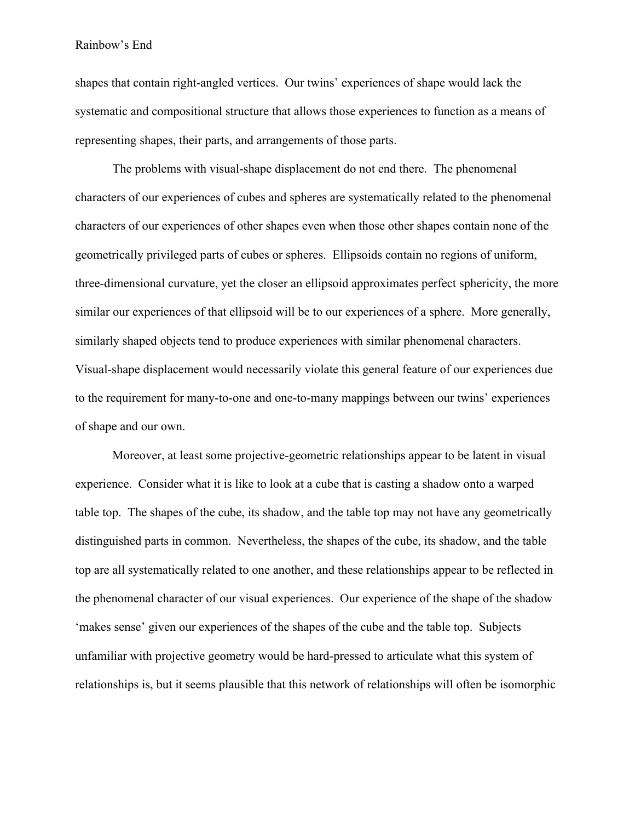shapes that contain right-angled vertices. Our twins' experiences of shape would lack the systematic and compositional structure that allows those experiences to function as a means of representing shapes, their parts, and arrangements of those parts.

The problems with visual-shape displacement do not end there. The phenomenal characters of our experiences of cubes and spheres are systematically related to the phenomenal characters of our experiences of other shapes even when those other shapes contain none of the geometrically privileged parts of cubes or spheres. Ellipsoids contain no regions of uniform, three-dimensional curvature, yet the closer an ellipsoid approximates perfect sphericity, the more similar our experiences of that ellipsoid will be to our experiences of a sphere. More generally, similarly shaped objects tend to produce experiences with similar phenomenal characters. Visual-shape displacement would necessarily violate this general feature of our experiences due to the requirement for many-to-one and one-to-many mappings between our twins' experiences of shape and our own.

Moreover, at least some projective-geometric relationships appear to be latent in visual experience. Consider what it is like to look at a cube that is casting a shadow onto a warped table top. The shapes of the cube, its shadow, and the table top may not have any geometrically distinguished parts in common. Nevertheless, the shapes of the cube, its shadow, and the table top are all systematically related to one another, and these relationships appear to be reflected in the phenomenal character of our visual experiences. Our experience of the shape of the shadow 'makes sense' given our experiences of the shapes of the cube and the table top. Subjects unfamiliar with projective geometry would be hard-pressed to articulate what this system of relationships is, but it seems plausible that this network of relationships will often be isomorphic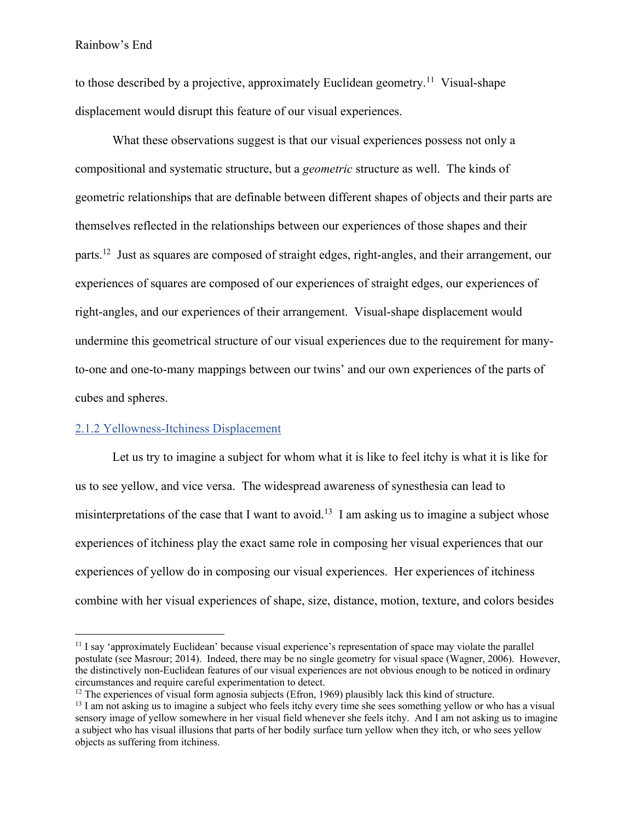to those described by a projective, approximately Euclidean geometry.<sup>11</sup> Visual-shape displacement would disrupt this feature of our visual experiences.

What these observations suggest is that our visual experiences possess not only a compositional and systematic structure, but a *geometric* structure as well. The kinds of geometric relationships that are definable between different shapes of objects and their parts are themselves reflected in the relationships between our experiences of those shapes and their parts.<sup>12</sup> Just as squares are composed of straight edges, right-angles, and their arrangement, our experiences of squares are composed of our experiences of straight edges, our experiences of right-angles, and our experiences of their arrangement. Visual-shape displacement would undermine this geometrical structure of our visual experiences due to the requirement for manyto-one and one-to-many mappings between our twins' and our own experiences of the parts of cubes and spheres.

# 2.1.2 Yellowness-Itchiness Displacement

Let us try to imagine a subject for whom what it is like to feel itchy is what it is like for us to see yellow, and vice versa. The widespread awareness of synesthesia can lead to misinterpretations of the case that I want to avoid.<sup>13</sup> I am asking us to imagine a subject whose experiences of itchiness play the exact same role in composing her visual experiences that our experiences of yellow do in composing our visual experiences. Her experiences of itchiness combine with her visual experiences of shape, size, distance, motion, texture, and colors besides

<sup>&</sup>lt;sup>11</sup> I say 'approximately Euclidean' because visual experience's representation of space may violate the parallel postulate (see Masrour; 2014). Indeed, there may be no single geometry for visual space (Wagner, 2006). However, the distinctively non-Euclidean features of our visual experiences are not obvious enough to be noticed in ordinary circumstances and require careful experimentation to detect.<br><sup>12</sup> The experiences of visual form agnosia subjects (Efron, 1969) plausibly lack this kind of structure.<br><sup>13</sup> I am not asking us to imagine a subject who feels

sensory image of yellow somewhere in her visual field whenever she feels itchy. And I am not asking us to imagine a subject who has visual illusions that parts of her bodily surface turn yellow when they itch, or who sees yellow objects as suffering from itchiness.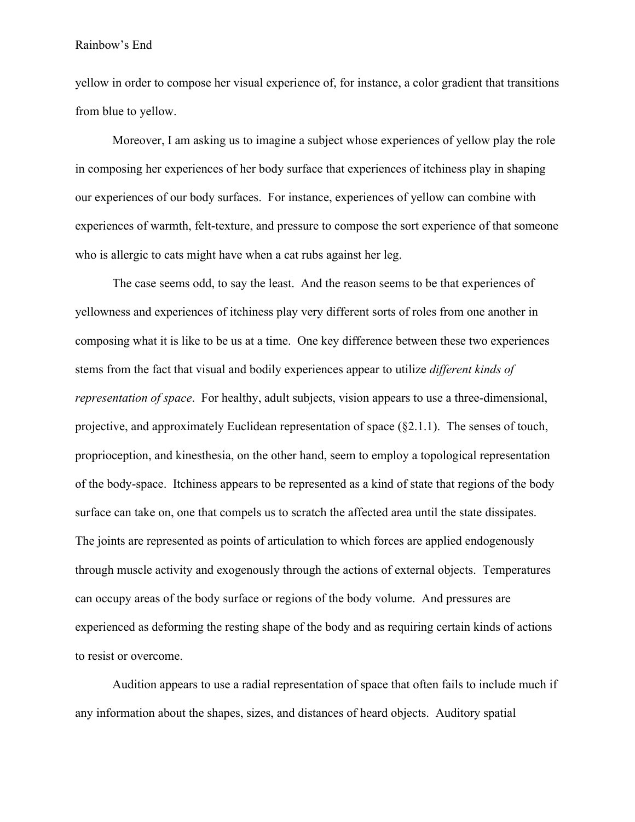yellow in order to compose her visual experience of, for instance, a color gradient that transitions from blue to yellow.

Moreover, I am asking us to imagine a subject whose experiences of yellow play the role in composing her experiences of her body surface that experiences of itchiness play in shaping our experiences of our body surfaces. For instance, experiences of yellow can combine with experiences of warmth, felt-texture, and pressure to compose the sort experience of that someone who is allergic to cats might have when a cat rubs against her leg.

The case seems odd, to say the least. And the reason seems to be that experiences of yellowness and experiences of itchiness play very different sorts of roles from one another in composing what it is like to be us at a time. One key difference between these two experiences stems from the fact that visual and bodily experiences appear to utilize *different kinds of representation of space*. For healthy, adult subjects, vision appears to use a three-dimensional, projective, and approximately Euclidean representation of space (§2.1.1). The senses of touch, proprioception, and kinesthesia, on the other hand, seem to employ a topological representation of the body-space. Itchiness appears to be represented as a kind of state that regions of the body surface can take on, one that compels us to scratch the affected area until the state dissipates. The joints are represented as points of articulation to which forces are applied endogenously through muscle activity and exogenously through the actions of external objects. Temperatures can occupy areas of the body surface or regions of the body volume. And pressures are experienced as deforming the resting shape of the body and as requiring certain kinds of actions to resist or overcome.

Audition appears to use a radial representation of space that often fails to include much if any information about the shapes, sizes, and distances of heard objects. Auditory spatial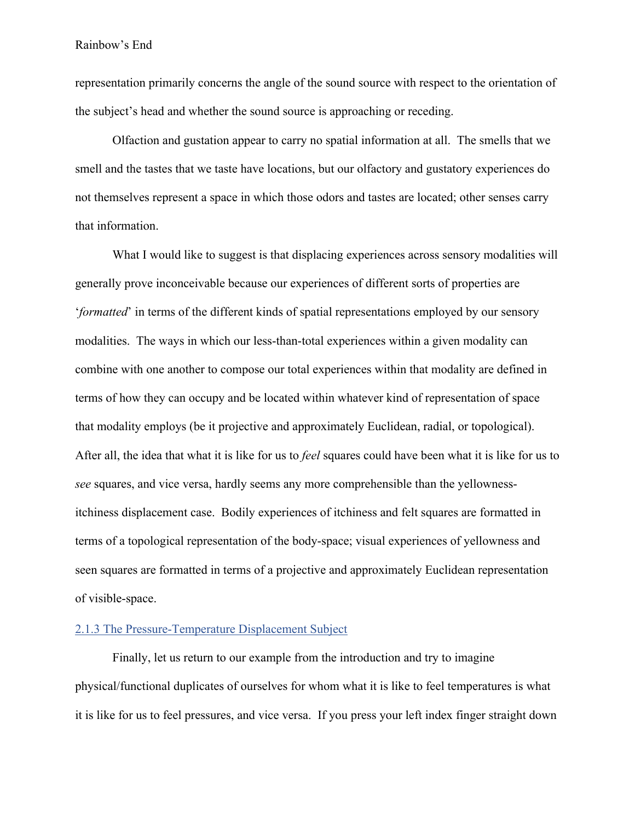representation primarily concerns the angle of the sound source with respect to the orientation of the subject's head and whether the sound source is approaching or receding.

Olfaction and gustation appear to carry no spatial information at all. The smells that we smell and the tastes that we taste have locations, but our olfactory and gustatory experiences do not themselves represent a space in which those odors and tastes are located; other senses carry that information.

What I would like to suggest is that displacing experiences across sensory modalities will generally prove inconceivable because our experiences of different sorts of properties are '*formatted*' in terms of the different kinds of spatial representations employed by our sensory modalities. The ways in which our less-than-total experiences within a given modality can combine with one another to compose our total experiences within that modality are defined in terms of how they can occupy and be located within whatever kind of representation of space that modality employs (be it projective and approximately Euclidean, radial, or topological). After all, the idea that what it is like for us to *feel* squares could have been what it is like for us to *see* squares, and vice versa, hardly seems any more comprehensible than the yellownessitchiness displacement case. Bodily experiences of itchiness and felt squares are formatted in terms of a topological representation of the body-space; visual experiences of yellowness and seen squares are formatted in terms of a projective and approximately Euclidean representation of visible-space.

# 2.1.3 The Pressure-Temperature Displacement Subject

Finally, let us return to our example from the introduction and try to imagine physical/functional duplicates of ourselves for whom what it is like to feel temperatures is what it is like for us to feel pressures, and vice versa. If you press your left index finger straight down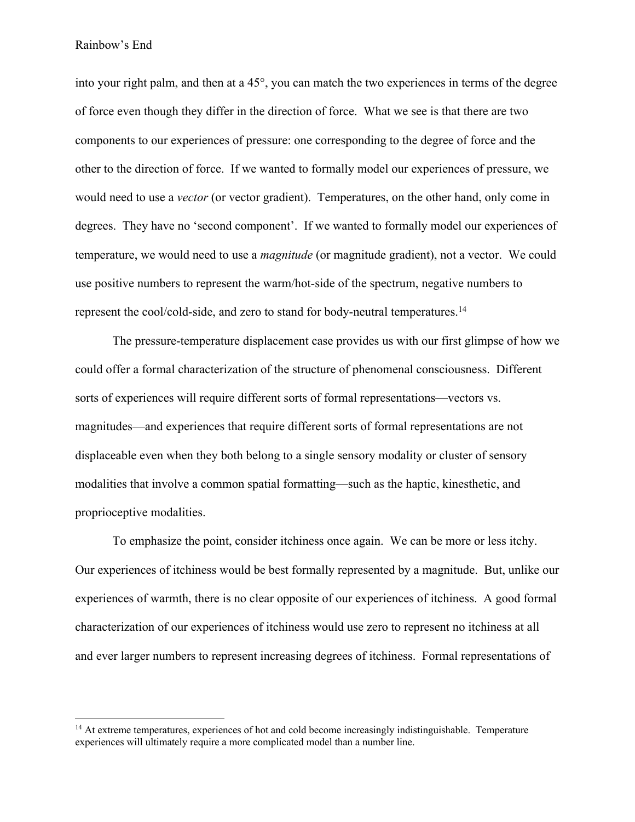into your right palm, and then at a 45°, you can match the two experiences in terms of the degree of force even though they differ in the direction of force. What we see is that there are two components to our experiences of pressure: one corresponding to the degree of force and the other to the direction of force. If we wanted to formally model our experiences of pressure, we would need to use a *vector* (or vector gradient). Temperatures, on the other hand, only come in degrees. They have no 'second component'. If we wanted to formally model our experiences of temperature, we would need to use a *magnitude* (or magnitude gradient), not a vector. We could use positive numbers to represent the warm/hot-side of the spectrum, negative numbers to represent the cool/cold-side, and zero to stand for body-neutral temperatures.14

The pressure-temperature displacement case provides us with our first glimpse of how we could offer a formal characterization of the structure of phenomenal consciousness. Different sorts of experiences will require different sorts of formal representations—vectors vs. magnitudes—and experiences that require different sorts of formal representations are not displaceable even when they both belong to a single sensory modality or cluster of sensory modalities that involve a common spatial formatting—such as the haptic, kinesthetic, and proprioceptive modalities.

To emphasize the point, consider itchiness once again. We can be more or less itchy. Our experiences of itchiness would be best formally represented by a magnitude. But, unlike our experiences of warmth, there is no clear opposite of our experiences of itchiness. A good formal characterization of our experiences of itchiness would use zero to represent no itchiness at all and ever larger numbers to represent increasing degrees of itchiness. Formal representations of

<sup>&</sup>lt;sup>14</sup> At extreme temperatures, experiences of hot and cold become increasingly indistinguishable. Temperature experiences will ultimately require a more complicated model than a number line.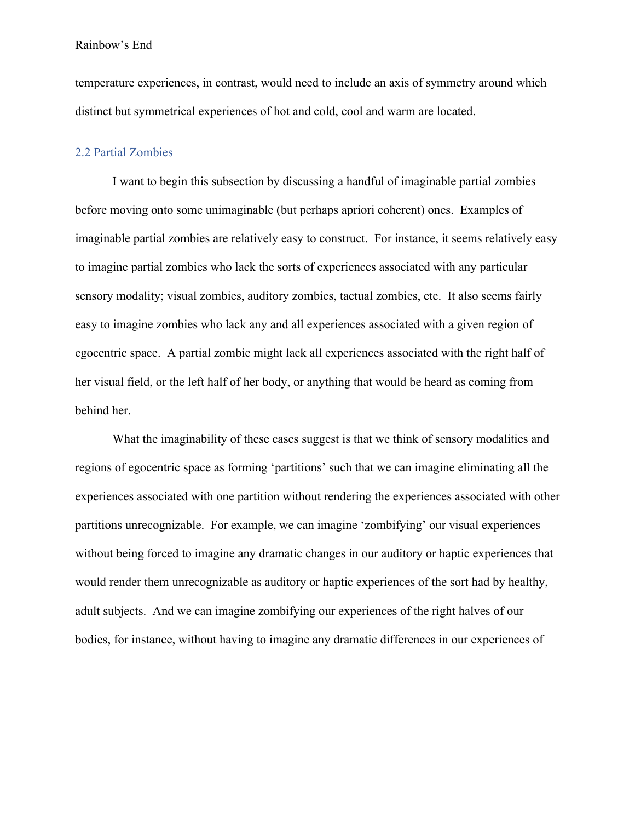temperature experiences, in contrast, would need to include an axis of symmetry around which distinct but symmetrical experiences of hot and cold, cool and warm are located.

# 2.2 Partial Zombies

I want to begin this subsection by discussing a handful of imaginable partial zombies before moving onto some unimaginable (but perhaps apriori coherent) ones. Examples of imaginable partial zombies are relatively easy to construct. For instance, it seems relatively easy to imagine partial zombies who lack the sorts of experiences associated with any particular sensory modality; visual zombies, auditory zombies, tactual zombies, etc. It also seems fairly easy to imagine zombies who lack any and all experiences associated with a given region of egocentric space. A partial zombie might lack all experiences associated with the right half of her visual field, or the left half of her body, or anything that would be heard as coming from behind her.

What the imaginability of these cases suggest is that we think of sensory modalities and regions of egocentric space as forming 'partitions' such that we can imagine eliminating all the experiences associated with one partition without rendering the experiences associated with other partitions unrecognizable. For example, we can imagine 'zombifying' our visual experiences without being forced to imagine any dramatic changes in our auditory or haptic experiences that would render them unrecognizable as auditory or haptic experiences of the sort had by healthy, adult subjects. And we can imagine zombifying our experiences of the right halves of our bodies, for instance, without having to imagine any dramatic differences in our experiences of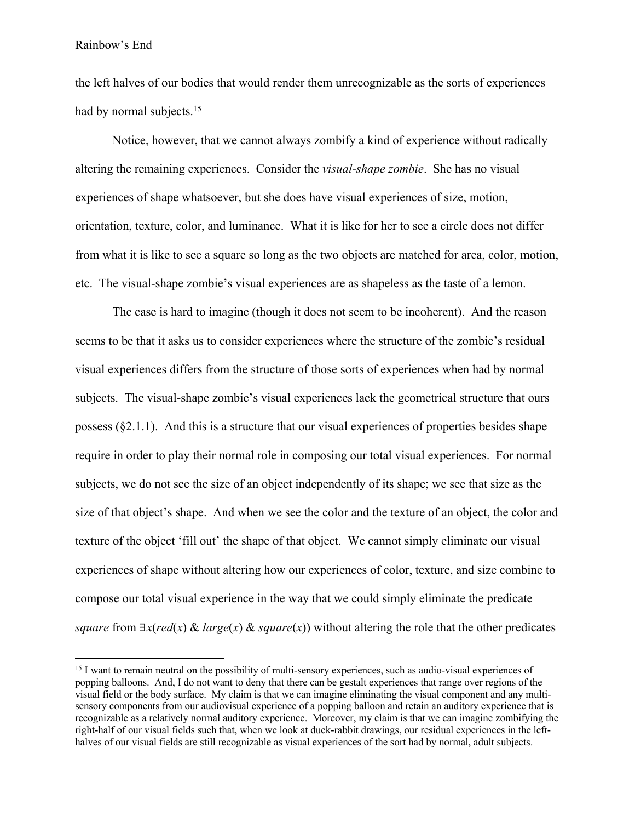the left halves of our bodies that would render them unrecognizable as the sorts of experiences had by normal subjects.<sup>15</sup>

Notice, however, that we cannot always zombify a kind of experience without radically altering the remaining experiences. Consider the *visual-shape zombie*. She has no visual experiences of shape whatsoever, but she does have visual experiences of size, motion, orientation, texture, color, and luminance. What it is like for her to see a circle does not differ from what it is like to see a square so long as the two objects are matched for area, color, motion, etc. The visual-shape zombie's visual experiences are as shapeless as the taste of a lemon.

The case is hard to imagine (though it does not seem to be incoherent). And the reason seems to be that it asks us to consider experiences where the structure of the zombie's residual visual experiences differs from the structure of those sorts of experiences when had by normal subjects. The visual-shape zombie's visual experiences lack the geometrical structure that ours possess  $(\S2.1.1)$ . And this is a structure that our visual experiences of properties besides shape require in order to play their normal role in composing our total visual experiences. For normal subjects, we do not see the size of an object independently of its shape; we see that size as the size of that object's shape. And when we see the color and the texture of an object, the color and texture of the object 'fill out' the shape of that object. We cannot simply eliminate our visual experiences of shape without altering how our experiences of color, texture, and size combine to compose our total visual experience in the way that we could simply eliminate the predicate *square* from ∃*x*(*red*(*x*) & *large*(*x*) & *square*(*x*)) without altering the role that the other predicates

<sup>&</sup>lt;sup>15</sup> I want to remain neutral on the possibility of multi-sensory experiences, such as audio-visual experiences of popping balloons. And, I do not want to deny that there can be gestalt experiences that range over regions of the visual field or the body surface. My claim is that we can imagine eliminating the visual component and any multisensory components from our audiovisual experience of a popping balloon and retain an auditory experience that is recognizable as a relatively normal auditory experience. Moreover, my claim is that we can imagine zombifying the right-half of our visual fields such that, when we look at duck-rabbit drawings, our residual experiences in the lefthalves of our visual fields are still recognizable as visual experiences of the sort had by normal, adult subjects.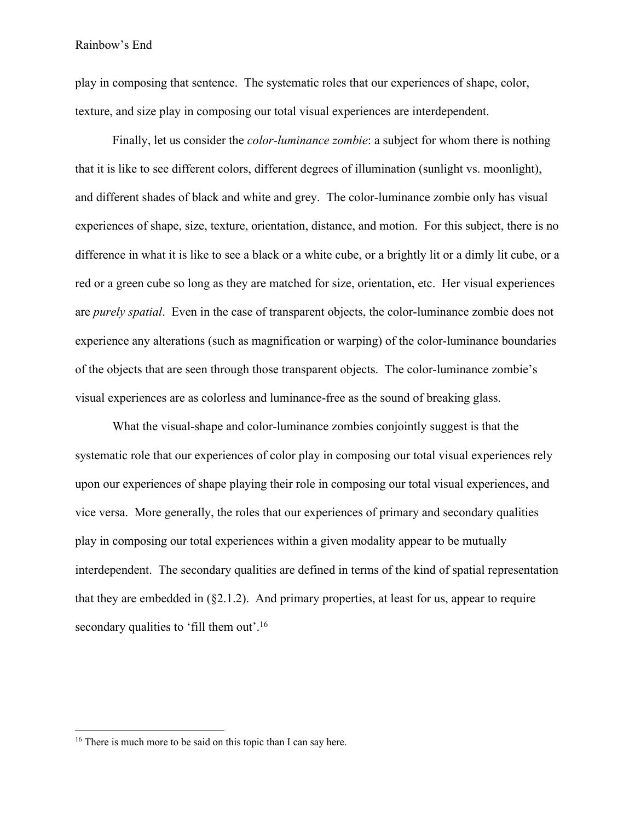play in composing that sentence. The systematic roles that our experiences of shape, color, texture, and size play in composing our total visual experiences are interdependent.

Finally, let us consider the *color-luminance zombie*: a subject for whom there is nothing that it is like to see different colors, different degrees of illumination (sunlight vs. moonlight), and different shades of black and white and grey. The color-luminance zombie only has visual experiences of shape, size, texture, orientation, distance, and motion. For this subject, there is no difference in what it is like to see a black or a white cube, or a brightly lit or a dimly lit cube, or a red or a green cube so long as they are matched for size, orientation, etc. Her visual experiences are *purely spatial*. Even in the case of transparent objects, the color-luminance zombie does not experience any alterations (such as magnification or warping) of the color-luminance boundaries of the objects that are seen through those transparent objects. The color-luminance zombie's visual experiences are as colorless and luminance-free as the sound of breaking glass.

What the visual-shape and color-luminance zombies conjointly suggest is that the systematic role that our experiences of color play in composing our total visual experiences rely upon our experiences of shape playing their role in composing our total visual experiences, and vice versa. More generally, the roles that our experiences of primary and secondary qualities play in composing our total experiences within a given modality appear to be mutually interdependent. The secondary qualities are defined in terms of the kind of spatial representation that they are embedded in  $(\S2.1.2)$ . And primary properties, at least for us, appear to require secondary qualities to 'fill them out'.<sup>16</sup>

<sup>&</sup>lt;sup>16</sup> There is much more to be said on this topic than I can say here.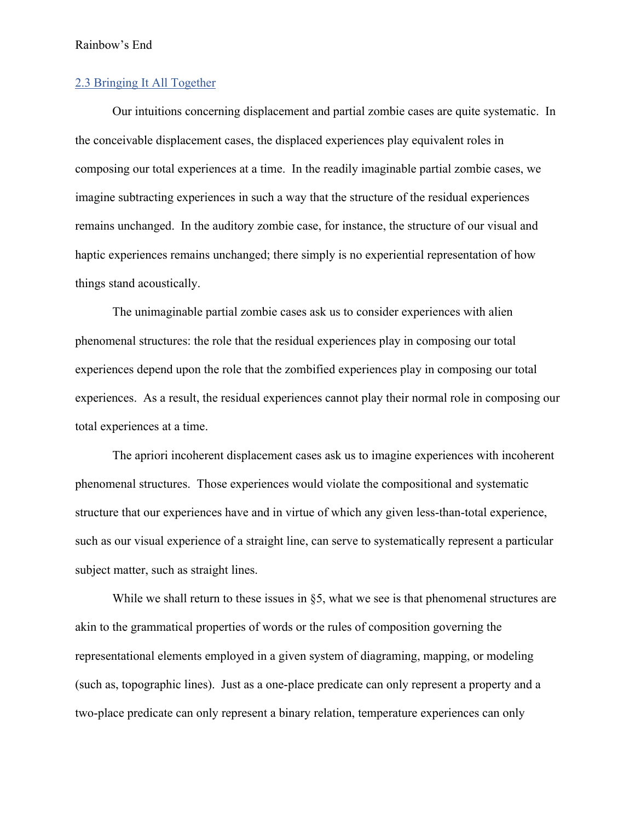## 2.3 Bringing It All Together

Our intuitions concerning displacement and partial zombie cases are quite systematic. In the conceivable displacement cases, the displaced experiences play equivalent roles in composing our total experiences at a time. In the readily imaginable partial zombie cases, we imagine subtracting experiences in such a way that the structure of the residual experiences remains unchanged. In the auditory zombie case, for instance, the structure of our visual and haptic experiences remains unchanged; there simply is no experiential representation of how things stand acoustically.

The unimaginable partial zombie cases ask us to consider experiences with alien phenomenal structures: the role that the residual experiences play in composing our total experiences depend upon the role that the zombified experiences play in composing our total experiences. As a result, the residual experiences cannot play their normal role in composing our total experiences at a time.

The apriori incoherent displacement cases ask us to imagine experiences with incoherent phenomenal structures. Those experiences would violate the compositional and systematic structure that our experiences have and in virtue of which any given less-than-total experience, such as our visual experience of a straight line, can serve to systematically represent a particular subject matter, such as straight lines.

While we shall return to these issues in §5, what we see is that phenomenal structures are akin to the grammatical properties of words or the rules of composition governing the representational elements employed in a given system of diagraming, mapping, or modeling (such as, topographic lines). Just as a one-place predicate can only represent a property and a two-place predicate can only represent a binary relation, temperature experiences can only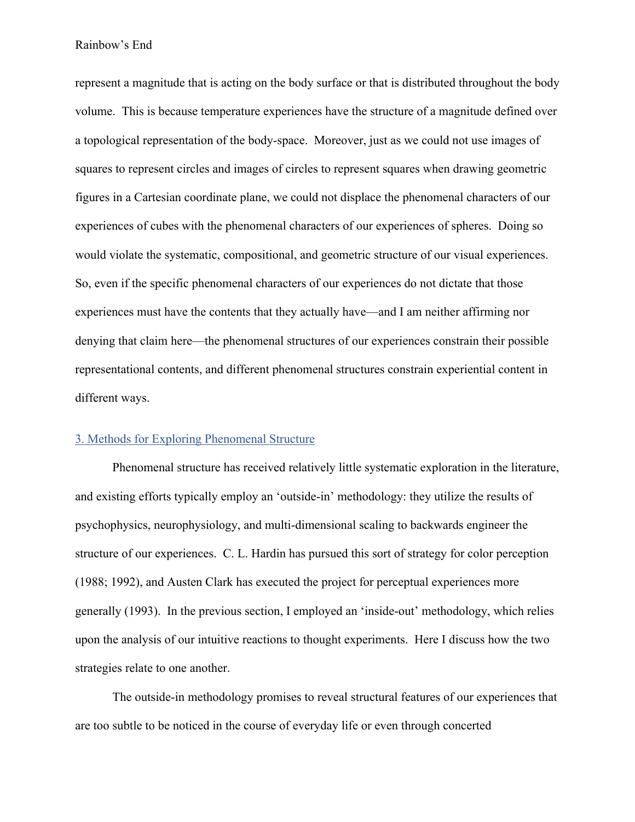represent a magnitude that is acting on the body surface or that is distributed throughout the body volume. This is because temperature experiences have the structure of a magnitude defined over a topological representation of the body-space. Moreover, just as we could not use images of squares to represent circles and images of circles to represent squares when drawing geometric figures in a Cartesian coordinate plane, we could not displace the phenomenal characters of our experiences of cubes with the phenomenal characters of our experiences of spheres. Doing so would violate the systematic, compositional, and geometric structure of our visual experiences. So, even if the specific phenomenal characters of our experiences do not dictate that those experiences must have the contents that they actually have—and I am neither affirming nor denying that claim here—the phenomenal structures of our experiences constrain their possible representational contents, and different phenomenal structures constrain experiential content in different ways.

## 3. Methods for Exploring Phenomenal Structure

Phenomenal structure has received relatively little systematic exploration in the literature, and existing efforts typically employ an 'outside-in' methodology: they utilize the results of psychophysics, neurophysiology, and multi-dimensional scaling to backwards engineer the structure of our experiences. C. L. Hardin has pursued this sort of strategy for color perception (1988; 1992), and Austen Clark has executed the project for perceptual experiences more generally (1993). In the previous section, I employed an 'inside-out' methodology, which relies upon the analysis of our intuitive reactions to thought experiments. Here I discuss how the two strategies relate to one another.

The outside-in methodology promises to reveal structural features of our experiences that are too subtle to be noticed in the course of everyday life or even through concerted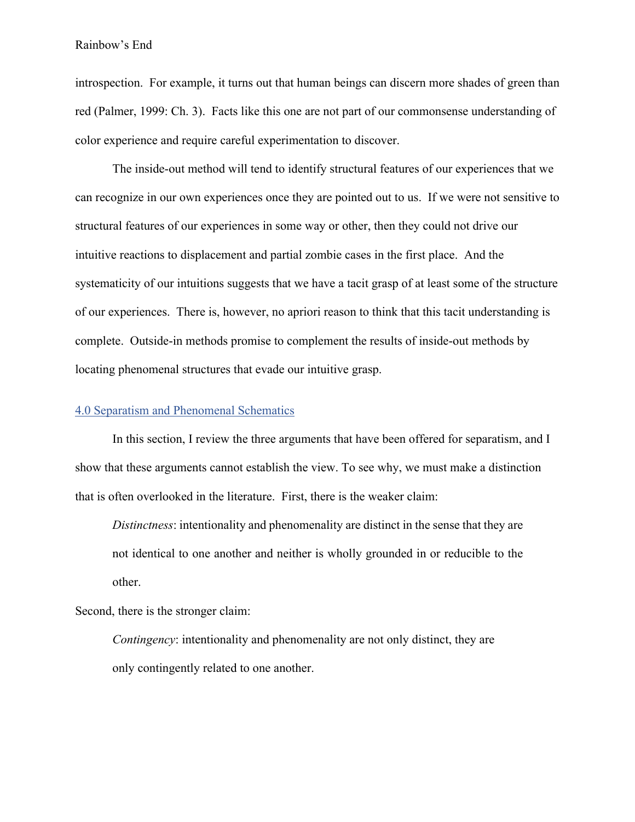introspection. For example, it turns out that human beings can discern more shades of green than red (Palmer, 1999: Ch. 3). Facts like this one are not part of our commonsense understanding of color experience and require careful experimentation to discover.

The inside-out method will tend to identify structural features of our experiences that we can recognize in our own experiences once they are pointed out to us. If we were not sensitive to structural features of our experiences in some way or other, then they could not drive our intuitive reactions to displacement and partial zombie cases in the first place. And the systematicity of our intuitions suggests that we have a tacit grasp of at least some of the structure of our experiences. There is, however, no apriori reason to think that this tacit understanding is complete. Outside-in methods promise to complement the results of inside-out methods by locating phenomenal structures that evade our intuitive grasp.

### 4.0 Separatism and Phenomenal Schematics

In this section, I review the three arguments that have been offered for separatism, and I show that these arguments cannot establish the view. To see why, we must make a distinction that is often overlooked in the literature. First, there is the weaker claim:

*Distinctness*: intentionality and phenomenality are distinct in the sense that they are not identical to one another and neither is wholly grounded in or reducible to the other.

Second, there is the stronger claim:

*Contingency*: intentionality and phenomenality are not only distinct, they are only contingently related to one another.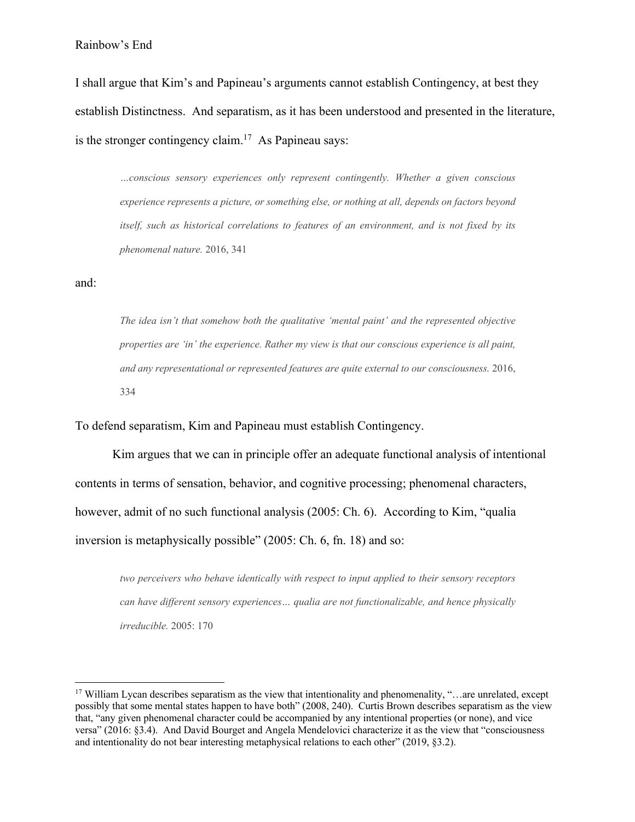I shall argue that Kim's and Papineau's arguments cannot establish Contingency, at best they establish Distinctness. And separatism, as it has been understood and presented in the literature, is the stronger contingency claim.<sup>17</sup> As Papineau says:

*…conscious sensory experiences only represent contingently. Whether a given conscious experience represents a picture, or something else, or nothing at all, depends on factors beyond itself, such as historical correlations to features of an environment, and is not fixed by its phenomenal nature.* 2016, 341

and:

*The idea isn't that somehow both the qualitative 'mental paint' and the represented objective properties are 'in' the experience. Rather my view is that our conscious experience is all paint, and any representational or represented features are quite external to our consciousness.* 2016, 334

To defend separatism, Kim and Papineau must establish Contingency.

Kim argues that we can in principle offer an adequate functional analysis of intentional contents in terms of sensation, behavior, and cognitive processing; phenomenal characters, however, admit of no such functional analysis (2005: Ch. 6). According to Kim, "qualia inversion is metaphysically possible" (2005: Ch. 6, fn. 18) and so:

*two perceivers who behave identically with respect to input applied to their sensory receptors can have different sensory experiences… qualia are not functionalizable, and hence physically irreducible.* 2005: 170

<sup>&</sup>lt;sup>17</sup> William Lycan describes separatism as the view that intentionality and phenomenality, "…are unrelated, except possibly that some mental states happen to have both" (2008, 240). Curtis Brown describes separatism as the view that, "any given phenomenal character could be accompanied by any intentional properties (or none), and vice versa" (2016: §3.4). And David Bourget and Angela Mendelovici characterize it as the view that "consciousness and intentionality do not bear interesting metaphysical relations to each other" (2019, §3.2).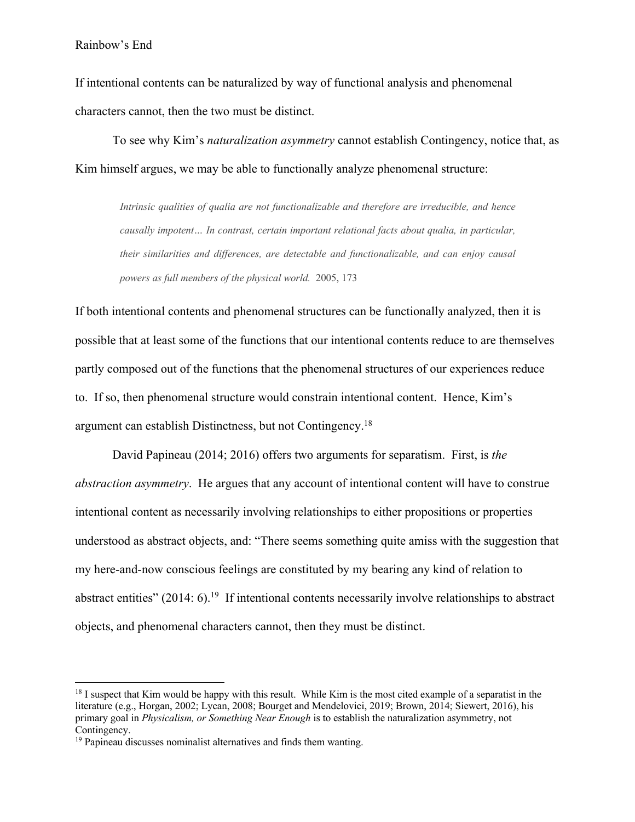If intentional contents can be naturalized by way of functional analysis and phenomenal characters cannot, then the two must be distinct.

To see why Kim's *naturalization asymmetry* cannot establish Contingency, notice that, as Kim himself argues, we may be able to functionally analyze phenomenal structure:

*Intrinsic qualities of qualia are not functionalizable and therefore are irreducible, and hence causally impotent… In contrast, certain important relational facts about qualia, in particular, their similarities and differences, are detectable and functionalizable, and can enjoy causal powers as full members of the physical world.* 2005, 173

If both intentional contents and phenomenal structures can be functionally analyzed, then it is possible that at least some of the functions that our intentional contents reduce to are themselves partly composed out of the functions that the phenomenal structures of our experiences reduce to. If so, then phenomenal structure would constrain intentional content. Hence, Kim's argument can establish Distinctness, but not Contingency.18

David Papineau (2014; 2016) offers two arguments for separatism. First, is *the abstraction asymmetry*. He argues that any account of intentional content will have to construe intentional content as necessarily involving relationships to either propositions or properties understood as abstract objects, and: "There seems something quite amiss with the suggestion that my here-and-now conscious feelings are constituted by my bearing any kind of relation to abstract entities" (2014: 6).<sup>19</sup> If intentional contents necessarily involve relationships to abstract objects, and phenomenal characters cannot, then they must be distinct.

 $18$  I suspect that Kim would be happy with this result. While Kim is the most cited example of a separatist in the literature (e.g., Horgan, 2002; Lycan, 2008; Bourget and Mendelovici, 2019; Brown, 2014; Siewert, 2016), his primary goal in *Physicalism, or Something Near Enough* is to establish the naturalization asymmetry, not Contingency.

<sup>&</sup>lt;sup>19</sup> Papineau discusses nominalist alternatives and finds them wanting.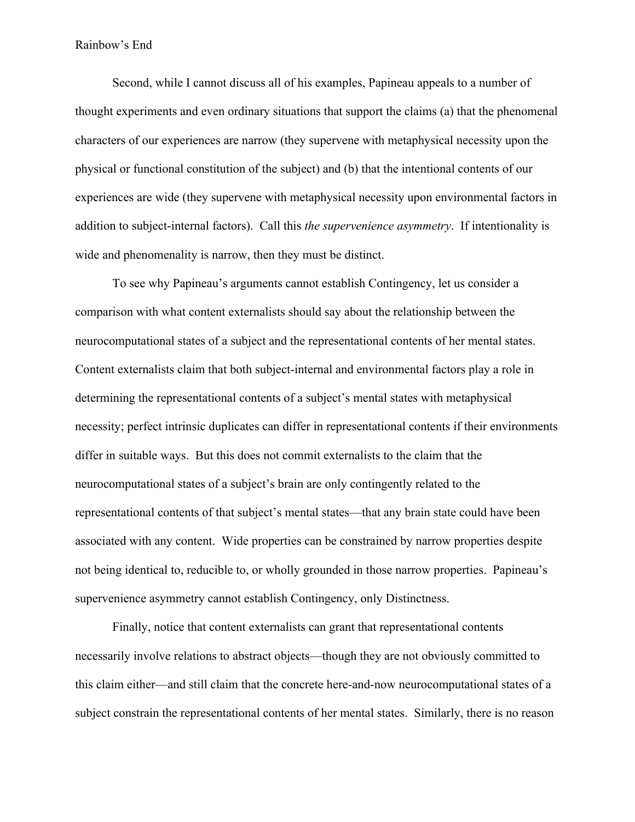Second, while I cannot discuss all of his examples, Papineau appeals to a number of thought experiments and even ordinary situations that support the claims (a) that the phenomenal characters of our experiences are narrow (they supervene with metaphysical necessity upon the physical or functional constitution of the subject) and (b) that the intentional contents of our experiences are wide (they supervene with metaphysical necessity upon environmental factors in addition to subject-internal factors). Call this *the supervenience asymmetry*. If intentionality is wide and phenomenality is narrow, then they must be distinct.

To see why Papineau's arguments cannot establish Contingency, let us consider a comparison with what content externalists should say about the relationship between the neurocomputational states of a subject and the representational contents of her mental states. Content externalists claim that both subject-internal and environmental factors play a role in determining the representational contents of a subject's mental states with metaphysical necessity; perfect intrinsic duplicates can differ in representational contents if their environments differ in suitable ways. But this does not commit externalists to the claim that the neurocomputational states of a subject's brain are only contingently related to the representational contents of that subject's mental states—that any brain state could have been associated with any content. Wide properties can be constrained by narrow properties despite not being identical to, reducible to, or wholly grounded in those narrow properties. Papineau's supervenience asymmetry cannot establish Contingency, only Distinctness.

Finally, notice that content externalists can grant that representational contents necessarily involve relations to abstract objects—though they are not obviously committed to this claim either—and still claim that the concrete here-and-now neurocomputational states of a subject constrain the representational contents of her mental states. Similarly, there is no reason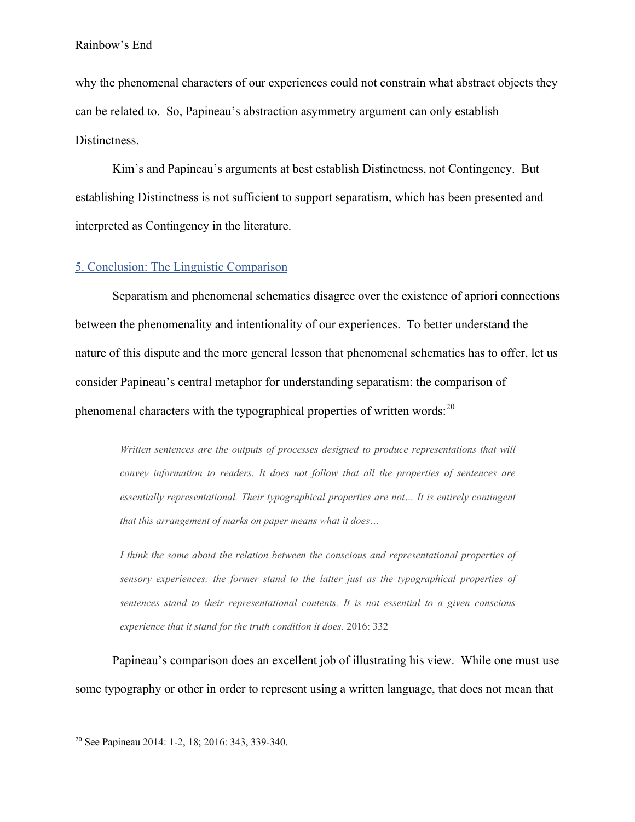why the phenomenal characters of our experiences could not constrain what abstract objects they can be related to. So, Papineau's abstraction asymmetry argument can only establish Distinctness.

Kim's and Papineau's arguments at best establish Distinctness, not Contingency. But establishing Distinctness is not sufficient to support separatism, which has been presented and interpreted as Contingency in the literature.

# 5. Conclusion: The Linguistic Comparison

Separatism and phenomenal schematics disagree over the existence of apriori connections between the phenomenality and intentionality of our experiences. To better understand the nature of this dispute and the more general lesson that phenomenal schematics has to offer, let us consider Papineau's central metaphor for understanding separatism: the comparison of phenomenal characters with the typographical properties of written words: $^{20}$ 

*Written sentences are the outputs of processes designed to produce representations that will convey information to readers. It does not follow that all the properties of sentences are essentially representational. Their typographical properties are not… It is entirely contingent that this arrangement of marks on paper means what it does…*

*I think the same about the relation between the conscious and representational properties of sensory experiences: the former stand to the latter just as the typographical properties of sentences stand to their representational contents. It is not essential to a given conscious experience that it stand for the truth condition it does.* 2016: 332

Papineau's comparison does an excellent job of illustrating his view. While one must use some typography or other in order to represent using a written language, that does not mean that

<sup>20</sup> See Papineau 2014: 1-2, 18; 2016: 343, 339-340.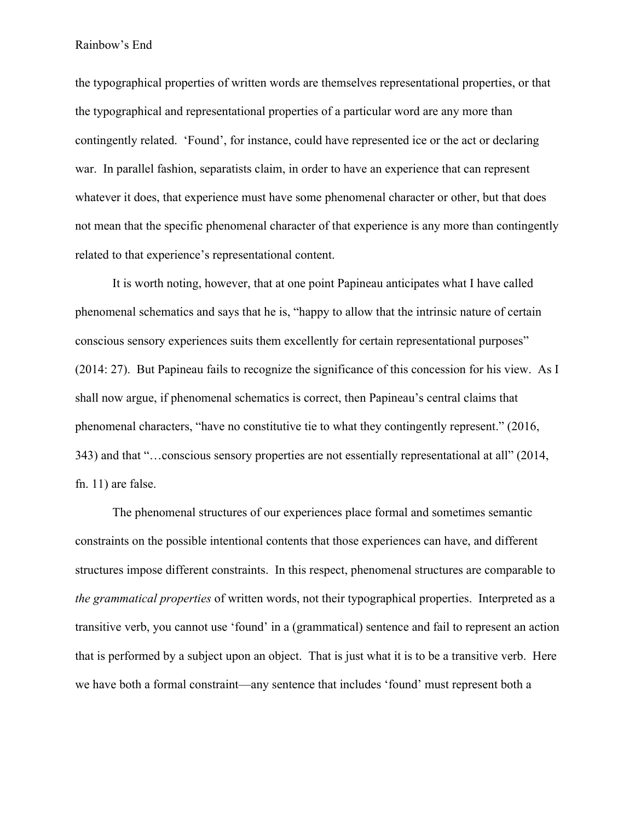the typographical properties of written words are themselves representational properties, or that the typographical and representational properties of a particular word are any more than contingently related. 'Found', for instance, could have represented ice or the act or declaring war. In parallel fashion, separatists claim, in order to have an experience that can represent whatever it does, that experience must have some phenomenal character or other, but that does not mean that the specific phenomenal character of that experience is any more than contingently related to that experience's representational content.

It is worth noting, however, that at one point Papineau anticipates what I have called phenomenal schematics and says that he is, "happy to allow that the intrinsic nature of certain conscious sensory experiences suits them excellently for certain representational purposes" (2014: 27). But Papineau fails to recognize the significance of this concession for his view. As I shall now argue, if phenomenal schematics is correct, then Papineau's central claims that phenomenal characters, "have no constitutive tie to what they contingently represent." (2016, 343) and that "…conscious sensory properties are not essentially representational at all" (2014, fn. 11) are false.

The phenomenal structures of our experiences place formal and sometimes semantic constraints on the possible intentional contents that those experiences can have, and different structures impose different constraints. In this respect, phenomenal structures are comparable to *the grammatical properties* of written words, not their typographical properties. Interpreted as a transitive verb, you cannot use 'found' in a (grammatical) sentence and fail to represent an action that is performed by a subject upon an object. That is just what it is to be a transitive verb. Here we have both a formal constraint—any sentence that includes 'found' must represent both a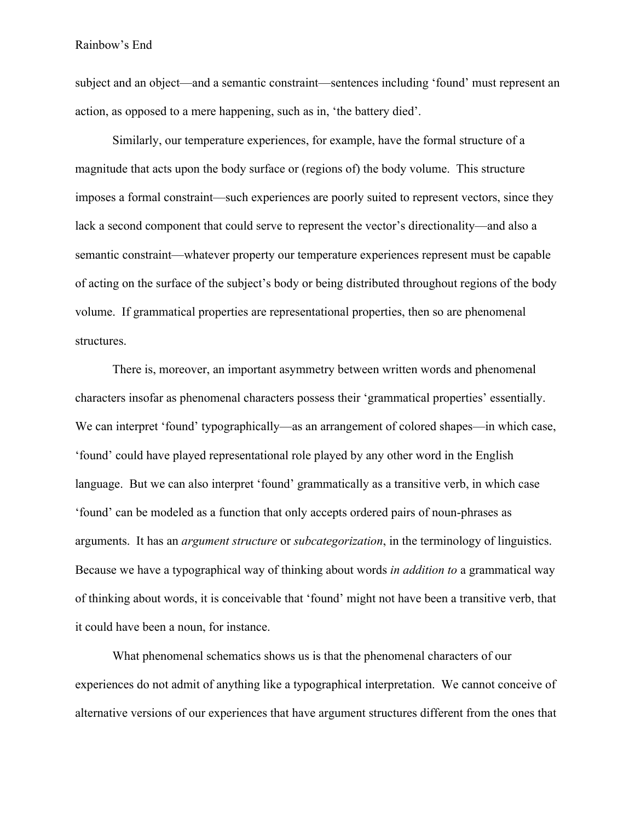subject and an object—and a semantic constraint—sentences including 'found' must represent an action, as opposed to a mere happening, such as in, 'the battery died'.

Similarly, our temperature experiences, for example, have the formal structure of a magnitude that acts upon the body surface or (regions of) the body volume. This structure imposes a formal constraint—such experiences are poorly suited to represent vectors, since they lack a second component that could serve to represent the vector's directionality—and also a semantic constraint—whatever property our temperature experiences represent must be capable of acting on the surface of the subject's body or being distributed throughout regions of the body volume. If grammatical properties are representational properties, then so are phenomenal structures.

There is, moreover, an important asymmetry between written words and phenomenal characters insofar as phenomenal characters possess their 'grammatical properties' essentially. We can interpret 'found' typographically—as an arrangement of colored shapes—in which case, 'found' could have played representational role played by any other word in the English language. But we can also interpret 'found' grammatically as a transitive verb, in which case 'found' can be modeled as a function that only accepts ordered pairs of noun-phrases as arguments. It has an *argument structure* or *subcategorization*, in the terminology of linguistics. Because we have a typographical way of thinking about words *in addition to* a grammatical way of thinking about words, it is conceivable that 'found' might not have been a transitive verb, that it could have been a noun, for instance.

What phenomenal schematics shows us is that the phenomenal characters of our experiences do not admit of anything like a typographical interpretation. We cannot conceive of alternative versions of our experiences that have argument structures different from the ones that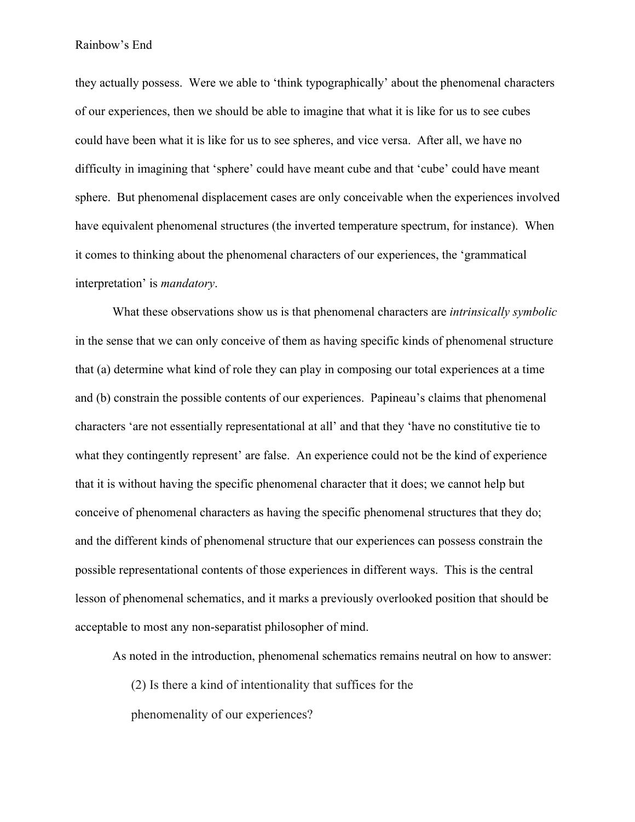they actually possess. Were we able to 'think typographically' about the phenomenal characters of our experiences, then we should be able to imagine that what it is like for us to see cubes could have been what it is like for us to see spheres, and vice versa. After all, we have no difficulty in imagining that 'sphere' could have meant cube and that 'cube' could have meant sphere. But phenomenal displacement cases are only conceivable when the experiences involved have equivalent phenomenal structures (the inverted temperature spectrum, for instance). When it comes to thinking about the phenomenal characters of our experiences, the 'grammatical interpretation' is *mandatory*.

What these observations show us is that phenomenal characters are *intrinsically symbolic* in the sense that we can only conceive of them as having specific kinds of phenomenal structure that (a) determine what kind of role they can play in composing our total experiences at a time and (b) constrain the possible contents of our experiences. Papineau's claims that phenomenal characters 'are not essentially representational at all' and that they 'have no constitutive tie to what they contingently represent' are false. An experience could not be the kind of experience that it is without having the specific phenomenal character that it does; we cannot help but conceive of phenomenal characters as having the specific phenomenal structures that they do; and the different kinds of phenomenal structure that our experiences can possess constrain the possible representational contents of those experiences in different ways. This is the central lesson of phenomenal schematics, and it marks a previously overlooked position that should be acceptable to most any non-separatist philosopher of mind.

As noted in the introduction, phenomenal schematics remains neutral on how to answer:

(2) Is there a kind of intentionality that suffices for the phenomenality of our experiences?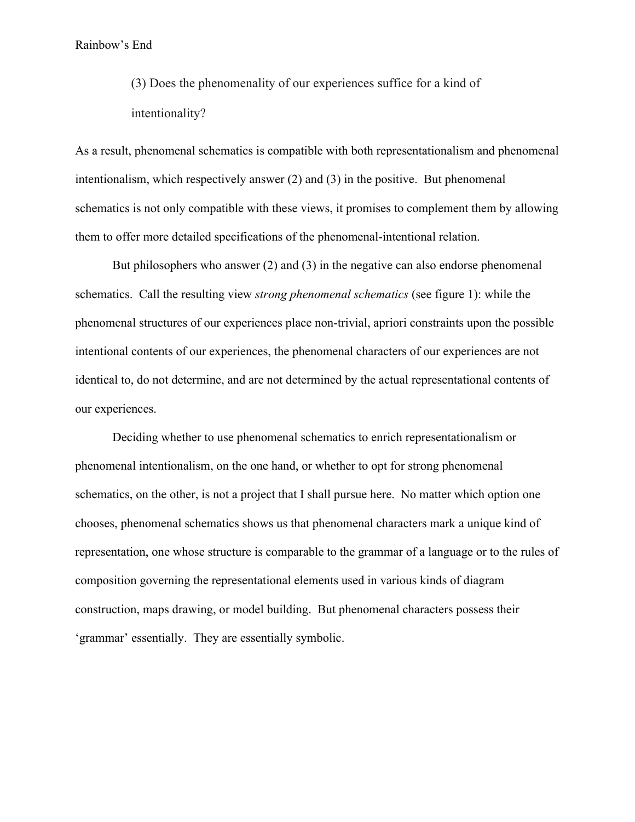(3) Does the phenomenality of our experiences suffice for a kind of intentionality?

As a result, phenomenal schematics is compatible with both representationalism and phenomenal intentionalism, which respectively answer (2) and (3) in the positive. But phenomenal schematics is not only compatible with these views, it promises to complement them by allowing them to offer more detailed specifications of the phenomenal-intentional relation.

But philosophers who answer (2) and (3) in the negative can also endorse phenomenal schematics. Call the resulting view *strong phenomenal schematics* (see figure 1): while the phenomenal structures of our experiences place non-trivial, apriori constraints upon the possible intentional contents of our experiences, the phenomenal characters of our experiences are not identical to, do not determine, and are not determined by the actual representational contents of our experiences.

Deciding whether to use phenomenal schematics to enrich representationalism or phenomenal intentionalism, on the one hand, or whether to opt for strong phenomenal schematics, on the other, is not a project that I shall pursue here. No matter which option one chooses, phenomenal schematics shows us that phenomenal characters mark a unique kind of representation, one whose structure is comparable to the grammar of a language or to the rules of composition governing the representational elements used in various kinds of diagram construction, maps drawing, or model building. But phenomenal characters possess their 'grammar' essentially. They are essentially symbolic.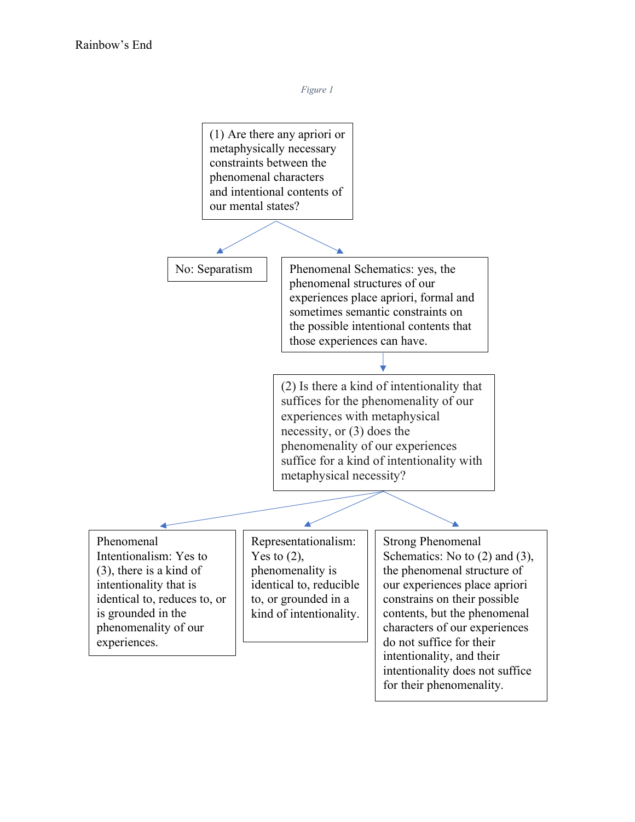

intentionality does not suffice for their phenomenality.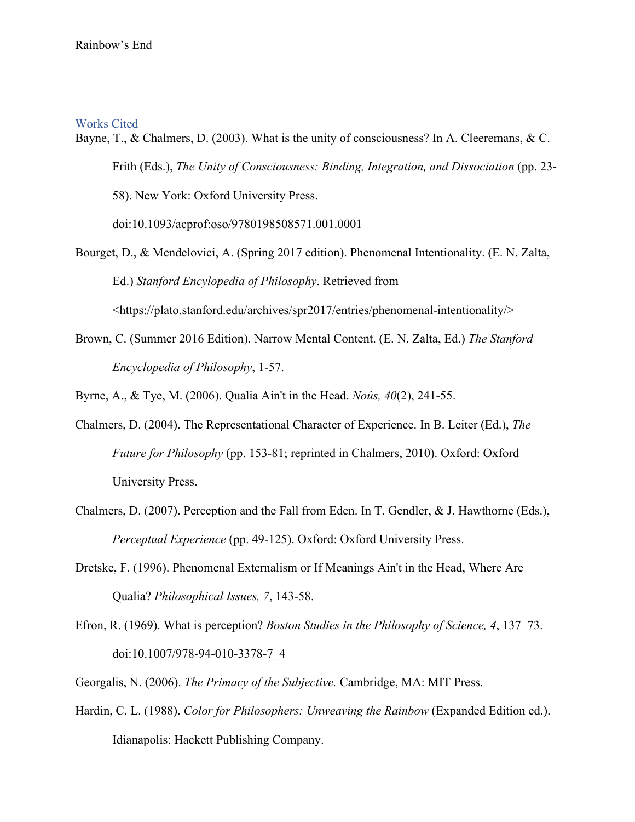### Works Cited

Bayne, T., & Chalmers, D. (2003). What is the unity of consciousness? In A. Cleeremans, & C. Frith (Eds.), *The Unity of Consciousness: Binding, Integration, and Dissociation* (pp. 23- 58). New York: Oxford University Press.

doi:10.1093/acprof:oso/9780198508571.001.0001

Bourget, D., & Mendelovici, A. (Spring 2017 edition). Phenomenal Intentionality. (E. N. Zalta, Ed.) *Stanford Encylopedia of Philosophy*. Retrieved from

<https://plato.stanford.edu/archives/spr2017/entries/phenomenal-intentionality/>

Brown, C. (Summer 2016 Edition). Narrow Mental Content. (E. N. Zalta, Ed.) *The Stanford Encyclopedia of Philosophy*, 1-57.

Byrne, A., & Tye, M. (2006). Qualia Ain't in the Head. *Noûs, 40*(2), 241-55.

- Chalmers, D. (2004). The Representational Character of Experience. In B. Leiter (Ed.), *The Future for Philosophy* (pp. 153-81; reprinted in Chalmers, 2010). Oxford: Oxford University Press.
- Chalmers, D. (2007). Perception and the Fall from Eden. In T. Gendler, & J. Hawthorne (Eds.), *Perceptual Experience* (pp. 49-125). Oxford: Oxford University Press.
- Dretske, F. (1996). Phenomenal Externalism or If Meanings Ain't in the Head, Where Are Qualia? *Philosophical Issues, 7*, 143-58.
- Efron, R. (1969). What is perception? *Boston Studies in the Philosophy of Science, 4*, 137–73. doi:10.1007/978-94-010-3378-7\_4
- Georgalis, N. (2006). *The Primacy of the Subjective.* Cambridge, MA: MIT Press.
- Hardin, C. L. (1988). *Color for Philosophers: Unweaving the Rainbow* (Expanded Edition ed.). Idianapolis: Hackett Publishing Company.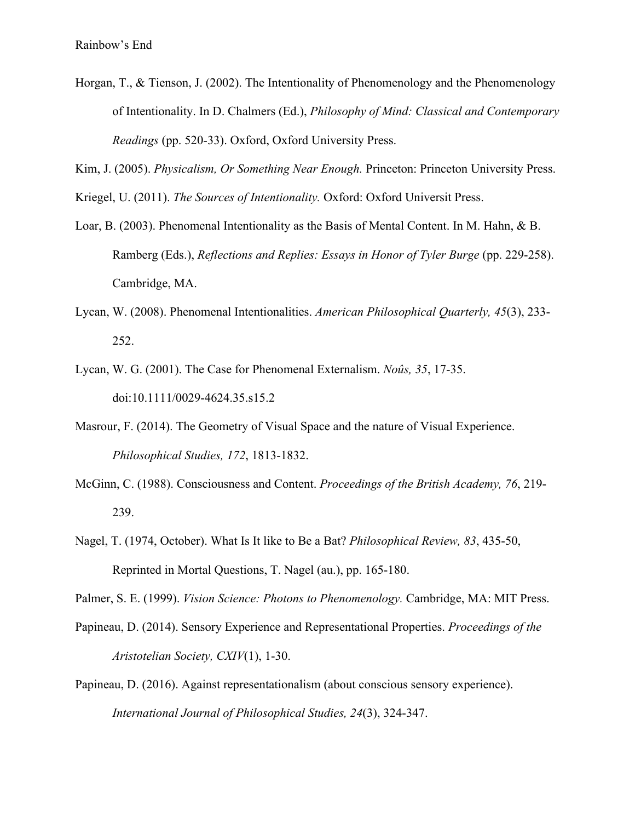Horgan, T., & Tienson, J. (2002). The Intentionality of Phenomenology and the Phenomenology of Intentionality. In D. Chalmers (Ed.), *Philosophy of Mind: Classical and Contemporary Readings* (pp. 520-33). Oxford, Oxford University Press.

Kim, J. (2005). *Physicalism, Or Something Near Enough.* Princeton: Princeton University Press.

Kriegel, U. (2011). *The Sources of Intentionality.* Oxford: Oxford Universit Press.

- Loar, B. (2003). Phenomenal Intentionality as the Basis of Mental Content. In M. Hahn, & B. Ramberg (Eds.), *Reflections and Replies: Essays in Honor of Tyler Burge* (pp. 229-258). Cambridge, MA.
- Lycan, W. (2008). Phenomenal Intentionalities. *American Philosophical Quarterly, 45*(3), 233- 252.
- Lycan, W. G. (2001). The Case for Phenomenal Externalism. *Noûs, 35*, 17-35. doi:10.1111/0029-4624.35.s15.2
- Masrour, F. (2014). The Geometry of Visual Space and the nature of Visual Experience. *Philosophical Studies, 172*, 1813-1832.
- McGinn, C. (1988). Consciousness and Content. *Proceedings of the British Academy, 76*, 219- 239.
- Nagel, T. (1974, October). What Is It like to Be a Bat? *Philosophical Review, 83*, 435-50, Reprinted in Mortal Questions, T. Nagel (au.), pp. 165-180.

Palmer, S. E. (1999). *Vision Science: Photons to Phenomenology.* Cambridge, MA: MIT Press.

- Papineau, D. (2014). Sensory Experience and Representational Properties. *Proceedings of the Aristotelian Society, CXIV*(1), 1-30.
- Papineau, D. (2016). Against representationalism (about conscious sensory experience). *International Journal of Philosophical Studies, 24*(3), 324-347.